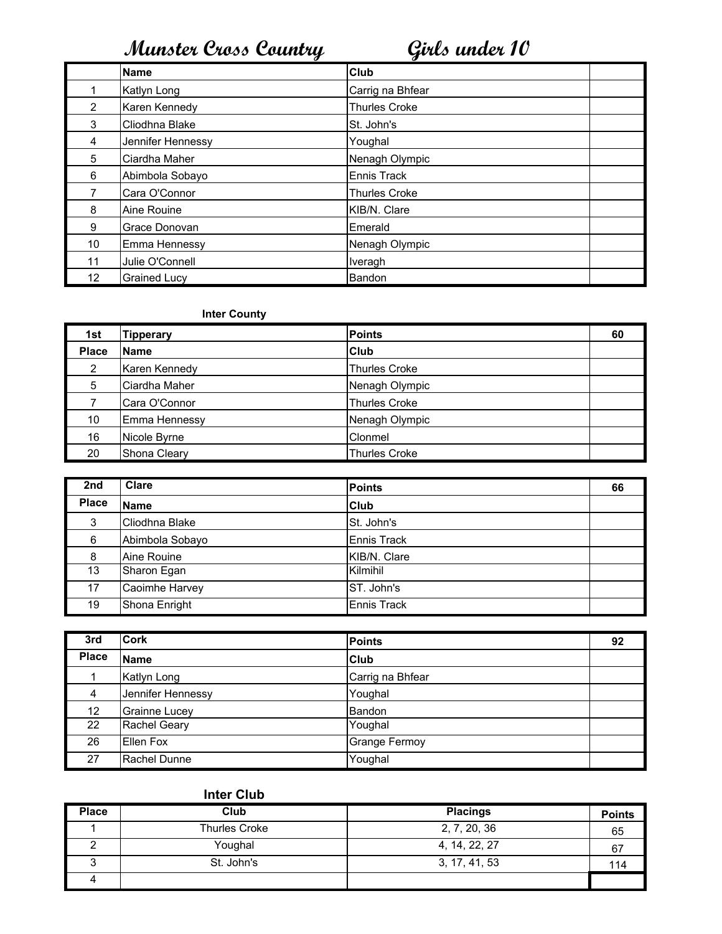|                 | <b>Name</b>         | Club                 |  |
|-----------------|---------------------|----------------------|--|
|                 | Katlyn Long         | Carrig na Bhfear     |  |
| 2               | Karen Kennedy       | <b>Thurles Croke</b> |  |
| 3               | Cliodhna Blake      | St. John's           |  |
| 4               | Jennifer Hennessy   | Youghal              |  |
| 5               | Ciardha Maher       | Nenagh Olympic       |  |
| 6               | Abimbola Sobayo     | Ennis Track          |  |
| 7               | Cara O'Connor       | <b>Thurles Croke</b> |  |
| 8               | Aine Rouine         | KIB/N. Clare         |  |
| 9               | Grace Donovan       | Emerald              |  |
| 10              | Emma Hennessy       | Nenagh Olympic       |  |
| 11              | Julie O'Connell     | Iveragh              |  |
| 12 <sub>2</sub> | <b>Grained Lucy</b> | Bandon               |  |

## Inter County

| 1st          | <b>Tipperary</b> | <b>Points</b>        | 60 |
|--------------|------------------|----------------------|----|
| <b>Place</b> | <b>Name</b>      | Club                 |    |
| 2            | Karen Kennedy    | <b>Thurles Croke</b> |    |
| 5            | Ciardha Maher    | Nenagh Olympic       |    |
|              | Cara O'Connor    | <b>Thurles Croke</b> |    |
| 10           | Emma Hennessy    | Nenagh Olympic       |    |
| 16           | Nicole Byrne     | Clonmel              |    |
| 20           | Shona Cleary     | <b>Thurles Croke</b> |    |

| 2nd          | Clare           | <b>Points</b>      | 66 |
|--------------|-----------------|--------------------|----|
| <b>Place</b> | <b>Name</b>     | Club               |    |
| 3            | Cliodhna Blake  | St. John's         |    |
| 6            | Abimbola Sobayo | Ennis Track        |    |
| 8            | Aine Rouine     | KIB/N. Clare       |    |
| 13           | Sharon Egan     | Kilmihil           |    |
| 17           | Caoimhe Harvey  | ST. John's         |    |
| 19           | Shona Enright   | <b>Ennis Track</b> |    |

| 3rd               | <b>Cork</b>          | <b>Points</b>        | 92 |
|-------------------|----------------------|----------------------|----|
| <b>Place</b>      | Name                 | Club                 |    |
|                   | Katlyn Long          | Carrig na Bhfear     |    |
| 4                 | Jennifer Hennessy    | Youghal              |    |
| 12                | <b>Grainne Lucey</b> | Bandon               |    |
| $22 \overline{ }$ | <b>Rachel Geary</b>  | Youghal              |    |
| 26                | Ellen Fox            | <b>Grange Fermoy</b> |    |
| 27                | Rachel Dunne         | Youghal              |    |

| <b>Place</b> | Club                 | <b>Placings</b> | <b>Points</b> |
|--------------|----------------------|-----------------|---------------|
|              | <b>Thurles Croke</b> | 2, 7, 20, 36    | 65            |
|              | Youghal              | 4, 14, 22, 27   | 67            |
|              | St. John's           | 3, 17, 41, 53   | 114           |
|              |                      |                 |               |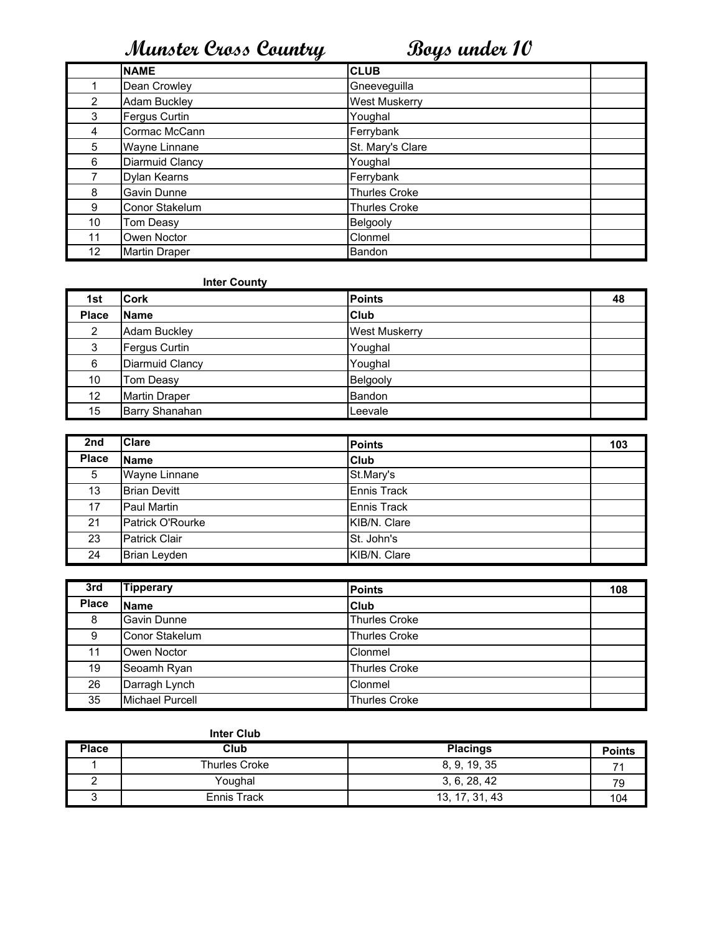|                 | <b>NAME</b>         | <b>CLUB</b>          |
|-----------------|---------------------|----------------------|
|                 | Dean Crowley        | Gneeveguilla         |
| 2               | <b>Adam Buckley</b> | <b>West Muskerry</b> |
| 3               | Fergus Curtin       | Youghal              |
| 4               | Cormac McCann       | Ferrybank            |
| 5               | Wayne Linnane       | St. Mary's Clare     |
| 6               | Diarmuid Clancy     | Youghal              |
|                 | Dylan Kearns        | Ferrybank            |
| 8               | Gavin Dunne         | <b>Thurles Croke</b> |
| 9               | Conor Stakelum      | <b>Thurles Croke</b> |
| 10              | Tom Deasy           | Belgooly             |
| 11              | Owen Noctor         | Clonmel              |
| 12 <sup>°</sup> | Martin Draper       | Bandon               |

### **Inter County**

| 1st             | <b>Cork</b>          | <b>Points</b>        | 48 |
|-----------------|----------------------|----------------------|----|
| <b>Place</b>    | <b>IName</b>         | Club                 |    |
| 2               | <b>Adam Buckley</b>  | <b>West Muskerry</b> |    |
| 3               | Fergus Curtin        | Youghal              |    |
| 6               | Diarmuid Clancy      | Youghal              |    |
| 10              | Tom Deasy            | Belgooly             |    |
| 12 <sub>2</sub> | <b>Martin Draper</b> | Bandon               |    |
| 15              | Barry Shanahan       | Leevale              |    |

| 2nd          | <b>Clare</b>         | <b>Points</b> | 103 |
|--------------|----------------------|---------------|-----|
| <b>Place</b> | <b>Name</b>          | Club          |     |
| 5            | <b>Wayne Linnane</b> | St.Mary's     |     |
| 13           | <b>Brian Devitt</b>  | Ennis Track   |     |
| 17           | Paul Martin          | Ennis Track   |     |
| 21           | Patrick O'Rourke     | KIB/N. Clare  |     |
| 23           | <b>Patrick Clair</b> | St. John's    |     |
| 24           | Brian Leyden         | KIB/N. Clare  |     |

| 3rd          | <b>Tipperary</b>       | <b>Points</b>        | 108 |
|--------------|------------------------|----------------------|-----|
| <b>Place</b> | <b>Name</b>            | <b>Club</b>          |     |
| 8            | Gavin Dunne            | <b>Thurles Croke</b> |     |
| 9            | Conor Stakelum         | <b>Thurles Croke</b> |     |
| 11           | Owen Noctor            | Clonmel              |     |
| 19           | Seoamh Ryan            | Thurles Croke        |     |
| 26           | Darragh Lynch          | Clonmel              |     |
| 35           | <b>Michael Purcell</b> | <b>Thurles Croke</b> |     |

|              | <b>Inter Club</b>    |                 |               |
|--------------|----------------------|-----------------|---------------|
| <b>Place</b> | Club                 | <b>Placings</b> | <b>Points</b> |
|              | <b>Thurles Croke</b> | 8, 9, 19, 35    |               |
|              | Youghal              | 3, 6, 28, 42    | 79            |
|              | Ennis Track          | 13, 17, 31, 43  | 104           |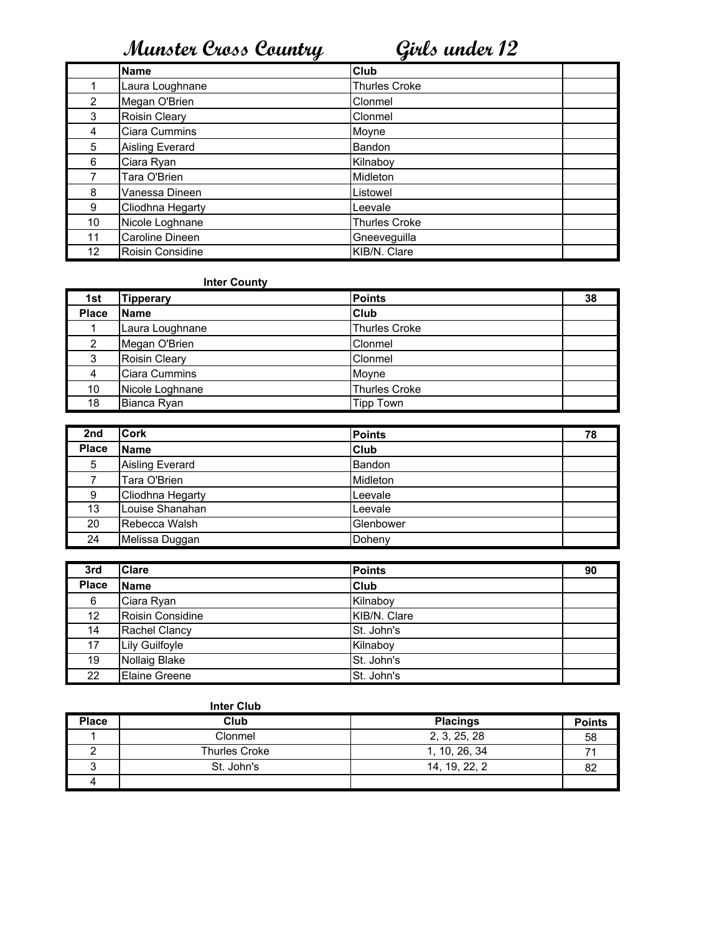|                | <b>Name</b>      | Club                 |  |
|----------------|------------------|----------------------|--|
|                | Laura Loughnane  | <b>Thurles Croke</b> |  |
| $\overline{2}$ | Megan O'Brien    | Clonmel              |  |
| 3              | Roisin Cleary    | Clonmel              |  |
| 4              | Ciara Cummins    | Moyne                |  |
| 5              | Aisling Everard  | Bandon               |  |
| 6              | Ciara Ryan       | Kilnaboy             |  |
|                | Tara O'Brien     | Midleton             |  |
| 8              | Vanessa Dineen   | Listowel             |  |
| 9              | Cliodhna Hegarty | Leevale              |  |
| 10             | Nicole Loghnane  | <b>Thurles Croke</b> |  |
| 11             | Caroline Dineen  | Gneeveguilla         |  |
| 12             | Roisin Considine | KIB/N. Clare         |  |

### **Inter County**

| 1st          | <b>Tipperary</b> | <b>Points</b>        | 38 |
|--------------|------------------|----------------------|----|
| <b>Place</b> | <b>Name</b>      | <b>Club</b>          |    |
|              | Laura Loughnane  | Thurles Croke        |    |
| 2            | Megan O'Brien    | Clonmel              |    |
| 3            | Roisin Cleary    | Clonmel              |    |
| 4            | Ciara Cummins    | Moyne                |    |
| 10           | Nicole Loghnane  | <b>Thurles Croke</b> |    |
| 18           | Bianca Ryan      | Tipp Town            |    |

| 2nd          | <b>Cork</b>            | <b>Points</b> | 78 |
|--------------|------------------------|---------------|----|
| <b>Place</b> | <b>Name</b>            | Club          |    |
| 5            | <b>Aisling Everard</b> | Bandon        |    |
|              | Tara O'Brien           | Midleton      |    |
| 9            | Cliodhna Hegarty       | Leevale       |    |
| 13           | Louise Shanahan        | Leevale       |    |
| 20           | Rebecca Walsh          | Glenbower     |    |
| 24           | Melissa Duggan         | Doheny        |    |

| 3rd          | <b>Clare</b>          | <b>Points</b> | 90 |
|--------------|-----------------------|---------------|----|
| <b>Place</b> | <b>Name</b>           | <b>Club</b>   |    |
| 6            | Ciara Ryan            | Kilnabov      |    |
| 12           | Roisin Considine      | KIB/N. Clare  |    |
| 14           | Rachel Clancy         | St. John's    |    |
| 17           | <b>Lily Guilfoyle</b> | Kilnaboy      |    |
| 19           | <b>Nollaig Blake</b>  | St. John's    |    |
| 22           | <b>Elaine Greene</b>  | St. John's    |    |

| <b>Place</b> | Club          | <b>Placings</b> | <b>Points</b> |
|--------------|---------------|-----------------|---------------|
|              | Clonmel       | 2, 3, 25, 28    | 58            |
|              | Thurles Croke | 1, 10, 26, 34   |               |
|              | St. John's    | 14, 19, 22, 2   | 82            |
|              |               |                 |               |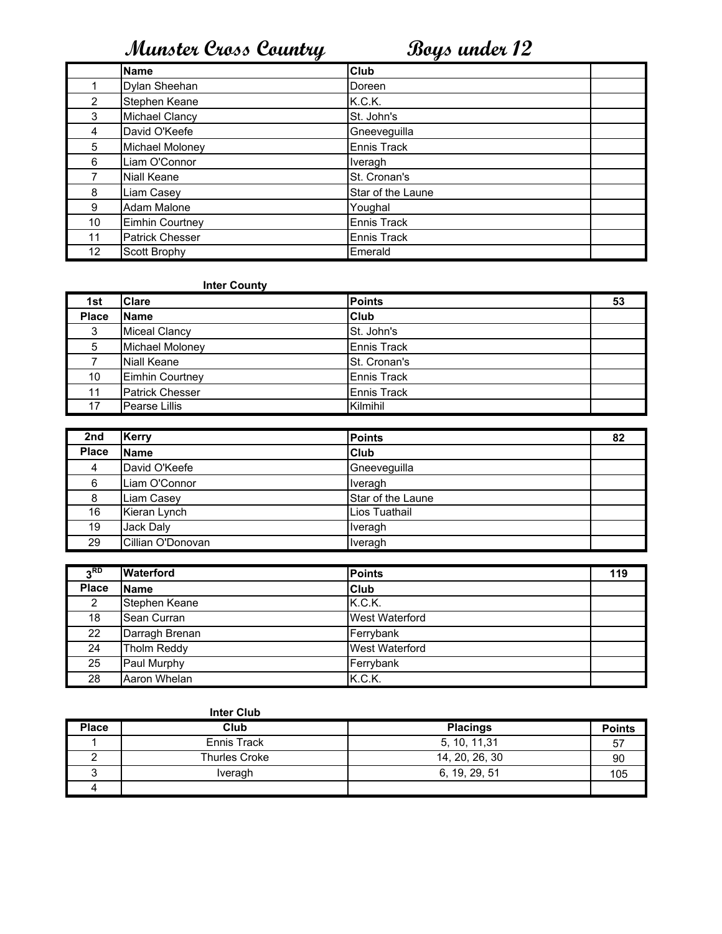|                | <b>Name</b>            | Club               |
|----------------|------------------------|--------------------|
|                | Dylan Sheehan          | Doreen             |
| $\overline{2}$ | Stephen Keane          | K.C.K.             |
| 3              | Michael Clancy         | St. John's         |
| 4              | David O'Keefe          | Gneeveguilla       |
| 5              | Michael Moloney        | Ennis Track        |
| 6              | Liam O'Connor          | Iveragh            |
|                | <b>Niall Keane</b>     | St. Cronan's       |
| 8              | Liam Casey             | Star of the Laune  |
| 9              | Adam Malone            | Youghal            |
| 10             | <b>Eimhin Courtney</b> | Ennis Track        |
| 11             | Patrick Chesser        | <b>Ennis Track</b> |
| 12             | Scott Brophy           | Emerald            |

### Inter County

| 1st          | <b>Clare</b>           | <b>Points</b>      | 53 |
|--------------|------------------------|--------------------|----|
| <b>Place</b> | <b>Name</b>            | <b>Club</b>        |    |
| 3            | <b>Miceal Clancy</b>   | St. John's         |    |
| 5            | Michael Moloney        | <b>Ennis Track</b> |    |
|              | Niall Keane            | St. Cronan's       |    |
| 10           | Eimhin Courtney        | Ennis Track        |    |
| 11           | <b>Patrick Chesser</b> | Ennis Track        |    |
| 17           | Pearse Lillis          | Kilmihil           |    |

| 2nd   | <b>Kerry</b>      | <b>Points</b>     | 82 |
|-------|-------------------|-------------------|----|
| Place | <b>Name</b>       | Club              |    |
| 4     | David O'Keefe     | Gneeveguilla      |    |
| 6     | Liam O'Connor     | Iveragh           |    |
| 8     | Liam Casey        | Star of the Laune |    |
| 16    | Kieran Lynch      | Lios Tuathail     |    |
| 19    | Jack Daly         | Iveragh           |    |
| 29    | Cillian O'Donovan | Iveragh           |    |

| <sub>2</sub> RD | <b>Waterford</b> | <b>Points</b>         | 119 |
|-----------------|------------------|-----------------------|-----|
| <b>Place</b>    | <b>Name</b>      | <b>Club</b>           |     |
| 2               | Stephen Keane    | K.C.K.                |     |
| 18              | Sean Curran      | <b>West Waterford</b> |     |
| 22              | Darragh Brenan   | Ferrybank             |     |
| 24              | Tholm Reddy      | <b>West Waterford</b> |     |
| 25              | Paul Murphy      | Ferrybank             |     |
| 28              | Aaron Whelan     | K.C.K.                |     |

| <b>Place</b> | Club          | <b>Placings</b> | <b>Points</b> |
|--------------|---------------|-----------------|---------------|
|              | Ennis Track   | 5, 10, 11, 31   | 57            |
|              | Thurles Croke | 14, 20, 26, 30  | 90            |
|              | Iveragh       | 6, 19, 29, 51   | 105           |
|              |               |                 |               |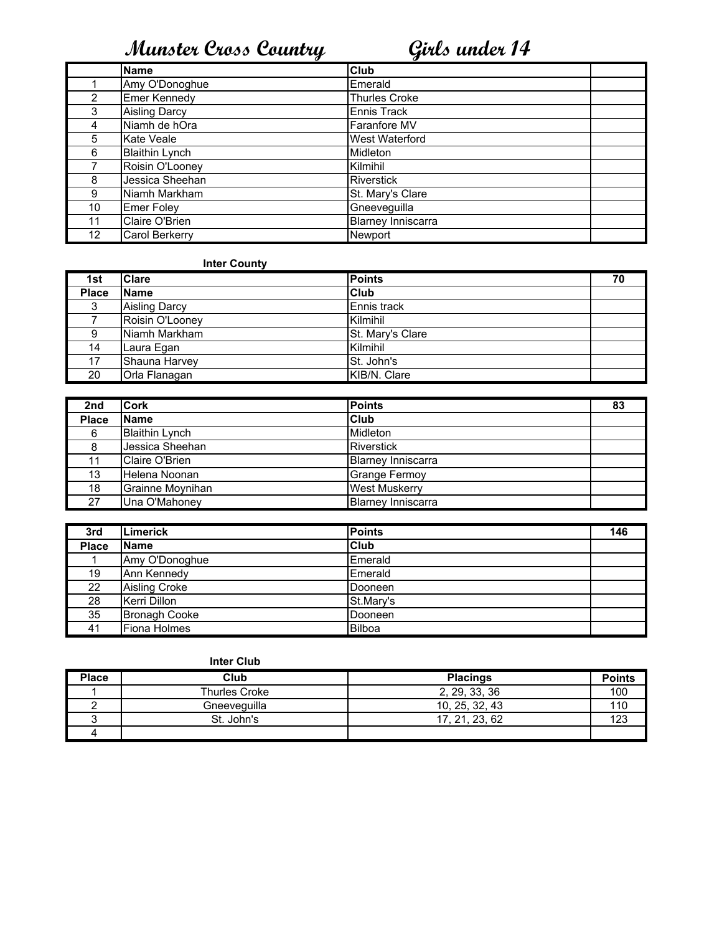|                 | <b>Name</b>           | Club                      |
|-----------------|-----------------------|---------------------------|
|                 | Amy O'Donoghue        | Emerald                   |
| 2               | Emer Kennedy          | <b>Thurles Croke</b>      |
| 3               | <b>Aisling Darcy</b>  | Ennis Track               |
| 4               | Niamh de hOra         | Faranfore MV              |
| 5               | Kate Veale            | <b>West Waterford</b>     |
| 6               | <b>Blaithin Lynch</b> | Midleton                  |
|                 | Roisin O'Looney       | Kilmihil                  |
| 8               | Jessica Sheehan       | <b>Riverstick</b>         |
| 9               | Niamh Markham         | St. Mary's Clare          |
| 10              | <b>Emer Foley</b>     | Gneeveguilla              |
| 11              | Claire O'Brien        | <b>Blarney Inniscarra</b> |
| 12 <sub>2</sub> | Carol Berkerry        | Newport                   |

## Inter County

| 1st          | Clare                | <b>Points</b>    | 70 |
|--------------|----------------------|------------------|----|
| <b>Place</b> | <b>Name</b>          | <b>Club</b>      |    |
| 2<br>J       | <b>Aisling Darcy</b> | Ennis track      |    |
|              | Roisin O'Looney      | Kilmihil         |    |
| 9            | Niamh Markham        | St. Mary's Clare |    |
| 14           | Laura Egan           | Kilmihil         |    |
| 17           | Shauna Harvey        | St. John's       |    |
| 20           | Orla Flanagan        | KIB/N. Clare     |    |

| 2nd          | <b>Cork</b>           | <b>Points</b>             | 83 |
|--------------|-----------------------|---------------------------|----|
| <b>Place</b> | <b>Name</b>           | Club                      |    |
| 6            | <b>Blaithin Lynch</b> | Midleton                  |    |
|              | Jessica Sheehan       | <b>Riverstick</b>         |    |
|              | Claire O'Brien        | <b>Blarnev Inniscarra</b> |    |
| 13           | Helena Noonan         | Grange Fermoy             |    |
| 18           | Grainne Moynihan      | <b>West Muskerry</b>      |    |
| 27           | Una O'Mahonev         | <b>Blarney Inniscarra</b> |    |

| 3rd          | <b>Limerick</b>      | <b>Points</b> | 146 |
|--------------|----------------------|---------------|-----|
| <b>Place</b> | <b>Name</b>          | Club          |     |
|              | Amy O'Donoghue       | Emerald       |     |
| 19           | Ann Kennedy          | Emerald       |     |
| 22           | Aisling Croke        | Dooneen       |     |
| 28           | Kerri Dillon         | St.Mary's     |     |
| 35           | <b>Bronagh Cooke</b> | Dooneen       |     |
| 41           | Fiona Holmes         | <b>Bilboa</b> |     |

| <b>Place</b> | Club          | <b>Placings</b> | <b>Points</b> |
|--------------|---------------|-----------------|---------------|
|              | Thurles Croke | 2, 29, 33, 36   | 100           |
|              | Gneeveguilla  | 10.25.32.43     | 110           |
|              | St. John's    | 17.21.23.62     | 123           |
|              |               |                 |               |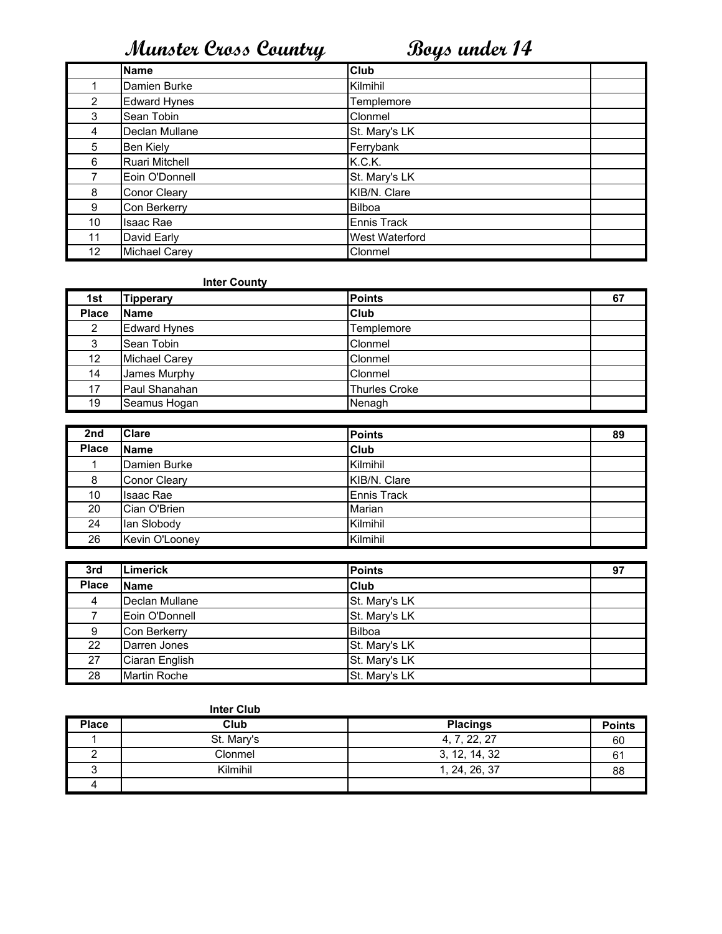|                 | <b>Name</b>         | <b>Club</b>    |
|-----------------|---------------------|----------------|
|                 | Damien Burke        | Kilmihil       |
| 2               | <b>Edward Hynes</b> | Templemore     |
| 3               | Sean Tobin          | Clonmel        |
| 4               | Declan Mullane      | St. Mary's LK  |
| 5               | Ben Kiely           | Ferrybank      |
| 6               | Ruari Mitchell      | K.C.K.         |
|                 | Eoin O'Donnell      | St. Mary's LK  |
| 8               | Conor Cleary        | KIB/N. Clare   |
| 9               | Con Berkerry        | <b>Bilboa</b>  |
| 10              | Isaac Rae           | Ennis Track    |
| 11              | David Early         | West Waterford |
| 12 <sup>2</sup> | Michael Carey       | Clonmel        |

### **Inter County**

| 1st             | <b>Tipperary</b>     | <b>Points</b>        | 67 |
|-----------------|----------------------|----------------------|----|
| <b>Place</b>    | <b>Name</b>          | Club                 |    |
| 2               | <b>Edward Hynes</b>  | Templemore           |    |
| 3               | Sean Tobin           | Clonmel              |    |
| 12 <sup>°</sup> | <b>Michael Carey</b> | Clonmel              |    |
| 14              | James Murphy         | Clonmel              |    |
| 17              | Paul Shanahan        | <b>Thurles Croke</b> |    |
| 19              | Seamus Hogan         | Nenagh               |    |

| 2nd          | <b>Clare</b>        | <b>Points</b> | 89 |
|--------------|---------------------|---------------|----|
| <b>Place</b> | <b>Name</b>         | Club          |    |
|              | Damien Burke        | Kilmihil      |    |
| 8            | <b>Conor Cleary</b> | KIB/N. Clare  |    |
| 10           | <b>Isaac Rae</b>    | Ennis Track   |    |
| 20           | Cian O'Brien        | Marian        |    |
| 24           | lan Slobody         | Kilmihil      |    |
| 26           | Kevin O'Looney      | Kilmihil      |    |

| 3rd          | <b>Limerick</b>     | <b>Points</b> | 97 |
|--------------|---------------------|---------------|----|
| <b>Place</b> | <b>Name</b>         | <b>Club</b>   |    |
| 4            | Declan Mullane      | St. Mary's LK |    |
|              | Eoin O'Donnell      | St. Mary's LK |    |
| 9            | Con Berkerry        | Bilboa        |    |
| 22           | Darren Jones        | St. Mary's LK |    |
| 27           | Ciaran English      | St. Mary's LK |    |
| 28           | <b>Martin Roche</b> | St. Mary's LK |    |

| <b>Place</b> | Club       | <b>Placings</b> | <b>Points</b> |
|--------------|------------|-----------------|---------------|
|              | St. Mary's | 4, 7, 22, 27    | 60            |
|              | Clonmel    | 3, 12, 14, 32   | 61            |
|              | Kilmihil   | 1, 24, 26, 37   | 88            |
|              |            |                 |               |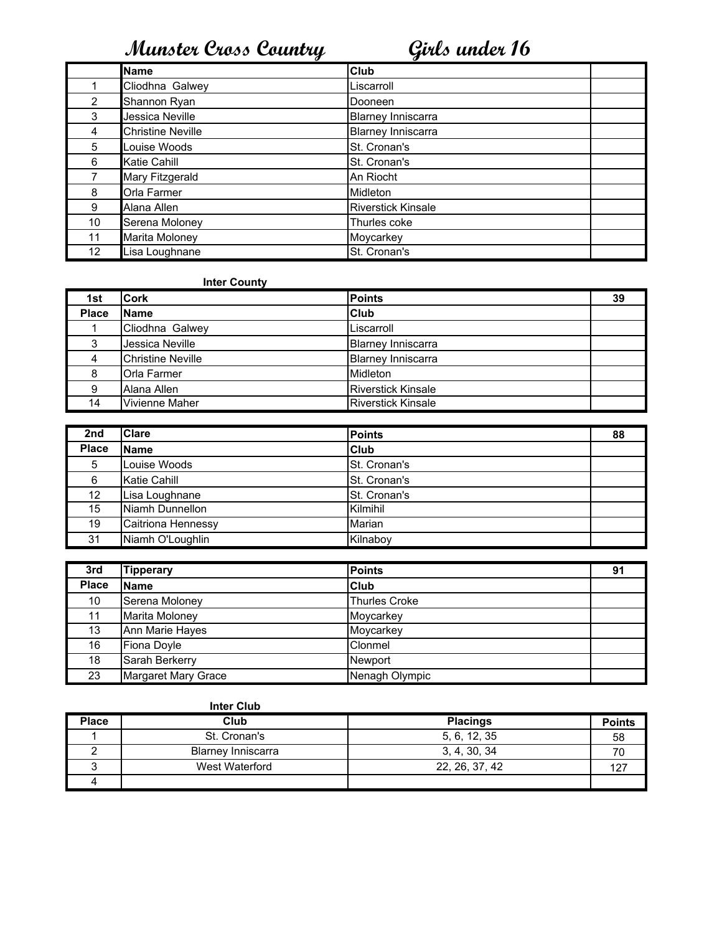|    | <b>Name</b>              | Club                      |  |
|----|--------------------------|---------------------------|--|
|    | Cliodhna Galwey          | Liscarroll                |  |
| 2  | Shannon Ryan             | Dooneen                   |  |
| 3  | Jessica Neville          | <b>Blarney Inniscarra</b> |  |
| 4  | <b>Christine Neville</b> | <b>Blarney Inniscarra</b> |  |
| 5  | Louise Woods             | St. Cronan's              |  |
| 6  | Katie Cahill             | St. Cronan's              |  |
|    | Mary Fitzgerald          | An Riocht                 |  |
| 8  | Orla Farmer              | Midleton                  |  |
| 9  | Alana Allen              | <b>Riverstick Kinsale</b> |  |
| 10 | Serena Moloney           | Thurles coke              |  |
| 11 | Marita Moloney           | Moycarkey                 |  |
| 12 | Lisa Loughnane           | St. Cronan's              |  |

### **Inter County**

| 1st          | <b>Cork</b>              | <b>Points</b>             | 39 |
|--------------|--------------------------|---------------------------|----|
| <b>Place</b> | <b>Name</b>              | Club                      |    |
|              | Cliodhna Galwey          | Liscarroll                |    |
| 3            | Jessica Neville          | <b>Blarney Inniscarra</b> |    |
| 4            | <b>Christine Neville</b> | <b>Blarney Inniscarra</b> |    |
| 8            | <b>Orla Farmer</b>       | Midleton                  |    |
| 9            | Alana Allen              | <b>Riverstick Kinsale</b> |    |
| 14           | Vivienne Maher           | <b>Riverstick Kinsale</b> |    |

| 2nd          | <b>Clare</b>       | <b>Points</b>       | 88 |
|--------------|--------------------|---------------------|----|
| <b>Place</b> | <b>Name</b>        | Club                |    |
| 5            | Louise Woods       | <b>St. Cronan's</b> |    |
| 6            | Katie Cahill       | <b>St. Cronan's</b> |    |
| 12           | Lisa Loughnane     | <b>St. Cronan's</b> |    |
| 15           | Niamh Dunnellon    | Kilmihil            |    |
| 19           | Caitriona Hennessy | Marian              |    |
| 31           | Niamh O'Loughlin   | Kilnaboy            |    |

| 3rd          | <b>Tipperary</b>    | <b>Points</b>        | 91 |
|--------------|---------------------|----------------------|----|
| <b>Place</b> | <b>Name</b>         | <b>Club</b>          |    |
| 10           | Serena Moloney      | <b>Thurles Croke</b> |    |
| 11           | Marita Moloney      | Moycarkey            |    |
| 13           | Ann Marie Hayes     | Moycarkey            |    |
| 16           | Fiona Doyle         | Clonmel              |    |
| 18           | Sarah Berkerry      | Newport              |    |
| 23           | Margaret Mary Grace | Nenagh Olympic       |    |

| <b>Place</b> | Club                      | <b>Placings</b> | <b>Points</b> |
|--------------|---------------------------|-----------------|---------------|
|              | St. Cronan's              | 5, 6, 12, 35    | 58            |
|              | <b>Blarney Inniscarra</b> | 3, 4, 30, 34    |               |
|              | West Waterford            | 22, 26, 37, 42  | 107           |
|              |                           |                 |               |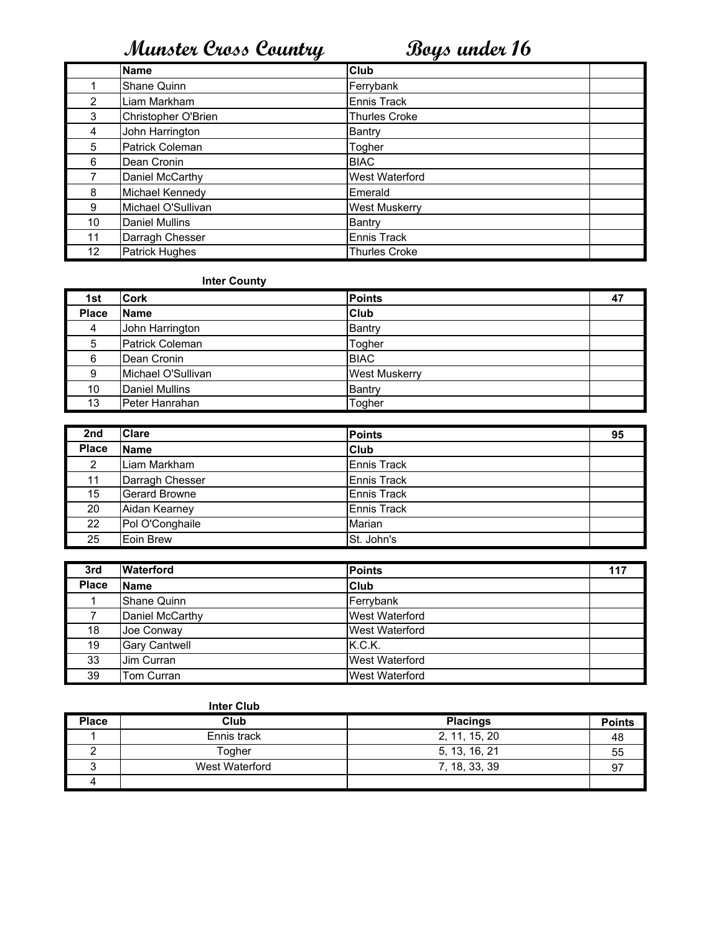|                 | <b>Name</b>           | <b>Club</b>           |  |
|-----------------|-----------------------|-----------------------|--|
|                 | Shane Quinn           | Ferrybank             |  |
| 2               | Liam Markham          | Ennis Track           |  |
| 3               | Christopher O'Brien   | <b>Thurles Croke</b>  |  |
| 4               | John Harrington       | Bantry                |  |
| 5               | Patrick Coleman       | Togher                |  |
| 6               | Dean Cronin           | <b>BIAC</b>           |  |
|                 | Daniel McCarthy       | <b>West Waterford</b> |  |
| 8               | Michael Kennedy       | Emerald               |  |
| 9               | Michael O'Sullivan    | <b>West Muskerry</b>  |  |
| 10              | <b>Daniel Mullins</b> | Bantry                |  |
| 11              | Darragh Chesser       | Ennis Track           |  |
| 12 <sub>2</sub> | <b>Patrick Hughes</b> | <b>Thurles Croke</b>  |  |

### Inter County

| 1st          | <b>Cork</b>            | <b>Points</b>        | 47 |
|--------------|------------------------|----------------------|----|
| <b>Place</b> | <b>Name</b>            | Club                 |    |
| 4            | John Harrington        | Bantry               |    |
| 5            | <b>Patrick Coleman</b> | Togher               |    |
| 6            | Dean Cronin            | <b>BIAC</b>          |    |
| 9            | Michael O'Sullivan     | <b>West Muskerry</b> |    |
| 10           | <b>Daniel Mullins</b>  | Bantry               |    |
| 13           | Peter Hanrahan         | Togher               |    |

| 2nd          | <b>Clare</b>         | <b>Points</b>      | 95 |
|--------------|----------------------|--------------------|----|
| <b>Place</b> | <b>Name</b>          | Club               |    |
| 2            | Liam Markham         | Ennis Track        |    |
| 11           | Darragh Chesser      | Ennis Track        |    |
| 15           | <b>Gerard Browne</b> | <b>Ennis Track</b> |    |
| 20           | Aidan Kearney        | Ennis Track        |    |
| 22           | Pol O'Conghaile      | Marian             |    |
| 25           | Eoin Brew            | St. John's         |    |

| 3rd          | <b>Waterford</b>     | <b>Points</b>         | 117 |
|--------------|----------------------|-----------------------|-----|
| <b>Place</b> | <b>Name</b>          | Club                  |     |
|              | Shane Quinn          | Ferrybank             |     |
|              | Daniel McCarthy      | West Waterford        |     |
| 18           | Joe Conway           | West Waterford        |     |
| 19           | <b>Gary Cantwell</b> | K.C.K.                |     |
| 33           | Jim Curran           | <b>West Waterford</b> |     |
| 39           | Tom Curran           | <b>West Waterford</b> |     |

| <b>Place</b> | Club           | <b>Placings</b> | <b>Points</b> |
|--------------|----------------|-----------------|---------------|
|              | Ennis track    | 2, 11, 15, 20   | 48            |
|              | Togher         | 5, 13, 16, 21   | 55            |
|              | West Waterford | 7, 18, 33, 39   | 97            |
|              |                |                 |               |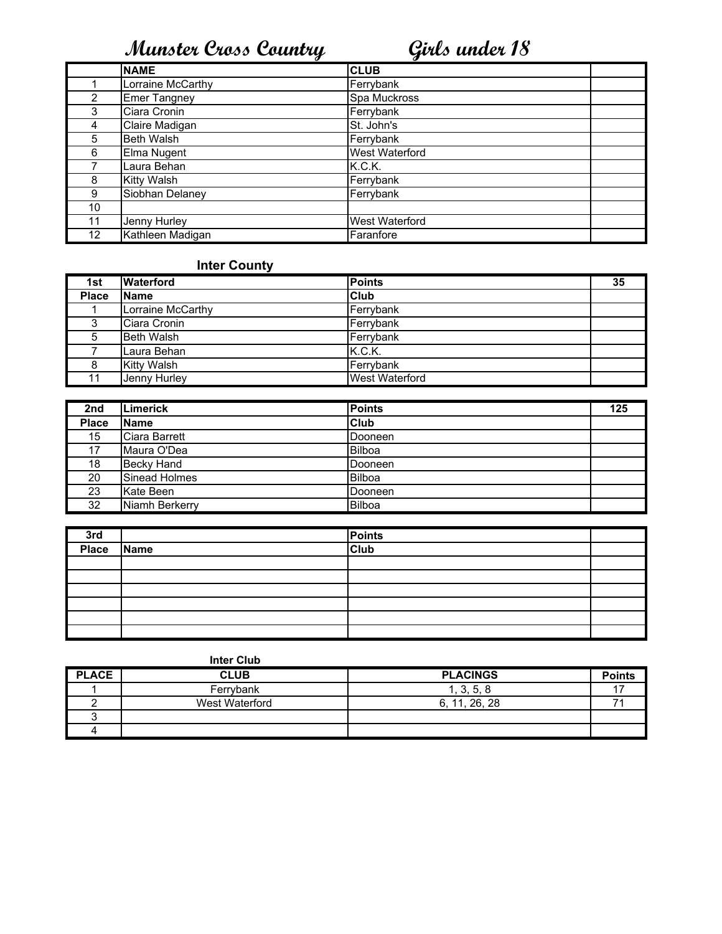|                 | <b>NAME</b>         | <b>CLUB</b>           |
|-----------------|---------------------|-----------------------|
|                 | Lorraine McCarthy   | Ferrybank             |
| 2               | <b>Emer Tangney</b> | Spa Muckross          |
| 3               | Ciara Cronin        | Ferrybank             |
| 4               | Claire Madigan      | St. John's            |
| 5               | <b>Beth Walsh</b>   | Ferrybank             |
| 6               | Elma Nugent         | <b>West Waterford</b> |
|                 | Laura Behan         | K.C.K.                |
| 8               | <b>Kitty Walsh</b>  | Ferrybank             |
| 9               | Siobhan Delaney     | Ferrybank             |
| 10              |                     |                       |
| 11              | Jenny Hurley        | West Waterford        |
| 12 <sup>°</sup> | Kathleen Madigan    | Faranfore             |

## Inter County

| 1st          | <b>Waterford</b>   | <b>Points</b>         | 35 |
|--------------|--------------------|-----------------------|----|
| <b>Place</b> | <b>Name</b>        | <b>Club</b>           |    |
|              | Lorraine McCarthy  | Ferrybank             |    |
| دت           | Ciara Cronin       | Ferrybank             |    |
| 5            | <b>Beth Walsh</b>  | Ferrybank             |    |
|              | Laura Behan        | K.C.K.                |    |
|              | <b>Kitty Walsh</b> | Ferrybank             |    |
|              | Jenny Hurley       | <b>West Waterford</b> |    |

| 2nd          | <b>Limerick</b>   | <b>Points</b> | 125 |
|--------------|-------------------|---------------|-----|
| <b>Place</b> | <b>Name</b>       | <b>Club</b>   |     |
| 15           | Ciara Barrett     | Dooneen       |     |
| 17           | Maura O'Dea       | <b>Bilboa</b> |     |
| 18           | <b>Becky Hand</b> | Dooneen       |     |
| 20           | Sinead Holmes     | <b>Bilboa</b> |     |
| 23           | Kate Been         | Dooneen       |     |
| 32           | Niamh Berkerry    | <b>Bilboa</b> |     |

|                   |             | Points<br>Club |  |
|-------------------|-------------|----------------|--|
| $rac{3rd}{Place}$ | <b>Name</b> |                |  |
|                   |             |                |  |
|                   |             |                |  |
|                   |             |                |  |
|                   |             |                |  |
|                   |             |                |  |
|                   |             |                |  |

|              | <b>Inter Club</b> |                 |               |
|--------------|-------------------|-----------------|---------------|
| <b>PLACE</b> | <b>CLUB</b>       | <b>PLACINGS</b> | <b>Points</b> |
|              | Ferrybank         | 1, 3, 5, 8      |               |
|              | West Waterford    | 6, 11, 26, 28   |               |
|              |                   |                 |               |
|              |                   |                 |               |